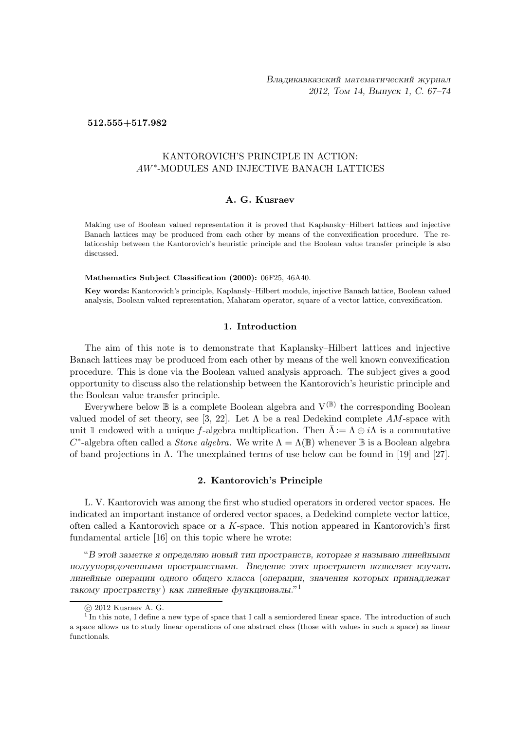512.555+517.982

# KANTOROVICH'S PRINCIPLE IN ACTION: AW∗ -MODULES AND INJECTIVE BANACH LATTICES

## A. G. Kusraev

Making use of Boolean valued representation it is proved that Kaplansky–Hilbert lattices and injective Banach lattices may be produced from each other by means of the convexification procedure. The relationship between the Kantorovich's heuristic principle and the Boolean value transfer principle is also discussed.

#### Mathematics Subject Classification (2000): 06F25, 46A40.

Key words: Kantorovich's principle, Kaplansly–Hilbert module, injective Banach lattice, Boolean valued analysis, Boolean valued representation, Maharam operator, square of a vector lattice, convexification.

### 1. Introduction

The aim of this note is to demonstrate that Kaplansky–Hilbert lattices and injective Banach lattices may be produced from each other by means of the well known convexification procedure. This is done via the Boolean valued analysis approach. The subject gives a good opportunity to discuss also the relationship between the Kantorovich's heuristic principle and the Boolean value transfer principle.

Everywhere below  $\mathbb B$  is a complete Boolean algebra and  $V^{(\mathbb B)}$  the corresponding Boolean valued model of set theory, see [3, 22]. Let  $\Lambda$  be a real Dedekind complete AM-space with unit 1 endowed with a unique f-algebra multiplication. Then  $\bar{\Lambda} := \Lambda \oplus i\Lambda$  is a commutative  $C^*$ -algebra often called a *Stone algebra*. We write  $\Lambda = \Lambda(\mathbb{B})$  whenever  $\mathbb B$  is a Boolean algebra of band projections in Λ. The unexplained terms of use below can be found in [19] and [27].

### 2. Kantorovich's Principle

L. V. Kantorovich was among the first who studied operators in ordered vector spaces. He indicated an important instance of ordered vector spaces, a Dedekind complete vector lattice, often called a Kantorovich space or a K-space. This notion appeared in Kantorovich's first fundamental article [16] on this topic where he wrote:

"В этой заметке я определяю новый тип пространств, которые я называю линейными полуупорядоченными пространствами. Введение этих пространств позволяет изучать линейные операции одного общего класса (операции, значения которых принадлежат такому пространству ) как линейные функционалы." 1

c 2012 Kusraev A. G.

<sup>&</sup>lt;sup>1</sup> In this note, I define a new type of space that I call a semiordered linear space. The introduction of such a space allows us to study linear operations of one abstract class (those with values in such a space) as linear functionals.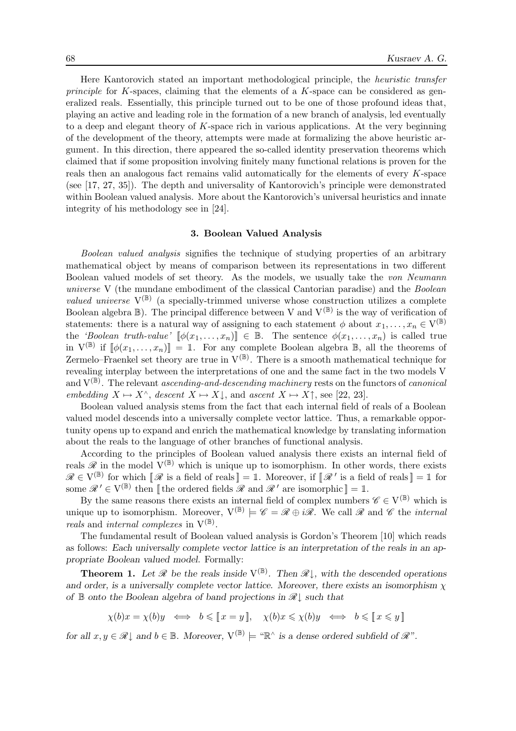Here Kantorovich stated an important methodological principle, the heuristic transfer principle for K-spaces, claiming that the elements of a K-space can be considered as generalized reals. Essentially, this principle turned out to be one of those profound ideas that, playing an active and leading role in the formation of a new branch of analysis, led eventually to a deep and elegant theory of  $K$ -space rich in various applications. At the very beginning of the development of the theory, attempts were made at formalizing the above heuristic argument. In this direction, there appeared the so-called identity preservation theorems which claimed that if some proposition involving finitely many functional relations is proven for the reals then an analogous fact remains valid automatically for the elements of every K-space (see [17, 27, 35]). The depth and universality of Kantorovich's principle were demonstrated within Boolean valued analysis. More about the Kantorovich's universal heuristics and innate integrity of his methodology see in [24].

#### 3. Boolean Valued Analysis

Boolean valued analysis signifies the technique of studying properties of an arbitrary mathematical object by means of comparison between its representations in two different Boolean valued models of set theory. As the models, we usually take the von Neumann universe V (the mundane embodiment of the classical Cantorian paradise) and the Boolean *valued universe*  $V^{(B)}$  (a specially-trimmed universe whose construction utilizes a complete Boolean algebra  $\mathbb{B}$ ). The principal difference between V and  $V^{(\mathbb{B})}$  is the way of verification of statements: there is a natural way of assigning to each statement  $\phi$  about  $x_1, \ldots, x_n \in V^{(\mathbb{B})}$ the 'Boolean truth-value'  $[\![\phi(x_1,\ldots,x_n)]\!] \in \mathbb{B}$ . The sentence  $\phi(x_1,\ldots,x_n)$  is called true in  $V^{(\mathbb{B})}$  if  $[\![\phi(x_1,\ldots,x_n)]\!] = \mathbb{1}$ . For any complete Boolean algebra  $\mathbb{B}$ , all the theorems of Zermelo–Fraenkel set theory are true in  $V^{(\mathbb{B})}$ . There is a smooth mathematical technique for revealing interplay between the interpretations of one and the same fact in the two models V and  $V^{(\mathbb{B})}$ . The relevant *ascending-and-descending machinery* rests on the functors of *canonical* embedding  $X \mapsto X^{\wedge}$ , descent  $X \mapsto X \downarrow$ , and ascent  $X \mapsto X \uparrow$ , see [22, 23].

Boolean valued analysis stems from the fact that each internal field of reals of a Boolean valued model descends into a universally complete vector lattice. Thus, a remarkable opportunity opens up to expand and enrich the mathematical knowledge by translating information about the reals to the language of other branches of functional analysis.

According to the principles of Boolean valued analysis there exists an internal field of reals  $\mathscr R$  in the model  $V^{(\mathbb{B})}$  which is unique up to isomorphism. In other words, there exists  $\mathscr{R} \in V^{(\mathbb{B})}$  for which  $[\mathscr{R}$  is a field of reals  $] = \mathbb{1}$ . Moreover, if  $[\mathscr{R}'$  is a field of reals  $] = \mathbb{1}$  for some  $\mathscr{R}' \in V^{(\mathbb{B})}$  then [[the ordered fields  $\mathscr{R}$  and  $\mathscr{R}'$  are isomorphic]] = 1.

By the same reasons there exists an internal field of complex numbers  $\mathscr{C} \in V^{(\mathbb{B})}$  which is unique up to isomorphism. Moreover,  $V^{(\mathbb{B})} \models \mathscr{C} = \mathscr{R} \oplus i\mathscr{R}$ . We call  $\mathscr{R}$  and  $\mathscr{C}$  the *internal* reals and internal complexes in  $V^{(\mathbb{B})}$ .

The fundamental result of Boolean valued analysis is Gordon's Theorem [10] which reads as follows: Each universally complete vector lattice is an interpretation of the reals in an appropriate Boolean valued model. Formally:

**Theorem 1.** Let  $\mathcal{R}$  be the reals inside  $V^{(\mathbb{B})}$ . Then  $\mathcal{R} \downarrow$ , with the descended operations and order, is a universally complete vector lattice. Moreover, there exists an isomorphism  $\chi$ of  $\mathbb B$  onto the Boolean algebra of band projections in  $\mathscr R\mathcal I$  such that

$$
\chi(b)x = \chi(b)y \iff b \leqslant [x = y], \quad \chi(b)x \leqslant \chi(b)y \iff b \leqslant [x \leqslant y]
$$

for all  $x, y \in \mathcal{R} \downarrow$  and  $b \in \mathbb{B}$ . Moreover,  $V^{(\mathbb{B})} \models$  " $\mathbb{R}^{\wedge}$  is a dense ordered subfield of  $\mathcal{R}$ ".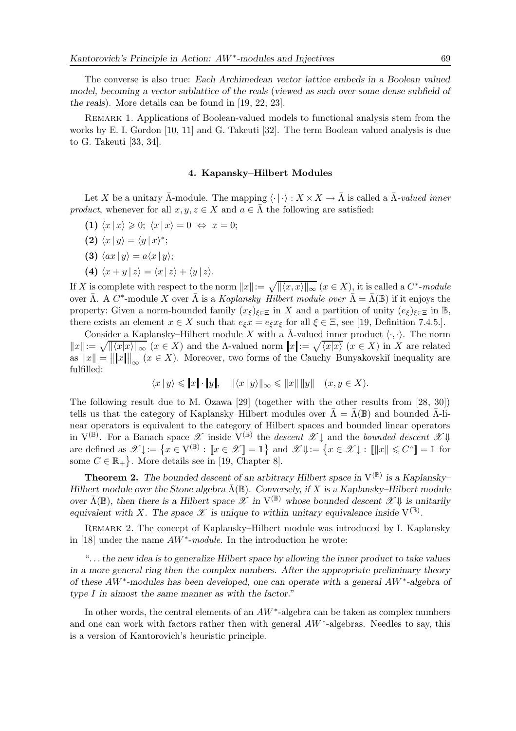The converse is also true: Each Archimedean vector lattice embeds in a Boolean valued model, becoming a vector sublattice of the reals (viewed as such over some dense subfield of the reals). More details can be found in [19, 22, 23].

Remark 1. Applications of Boolean-valued models to functional analysis stem from the works by E. I. Gordon [10, 11] and G. Takeuti [32]. The term Boolean valued analysis is due to G. Takeuti [33, 34].

#### 4. Kapansky–Hilbert Modules

Let X be a unitary  $\bar{\Lambda}$ -module. The mapping  $\langle \cdot | \cdot \rangle : X \times X \to \bar{\Lambda}$  is called a  $\bar{\Lambda}$ -valued inner product, whenever for all  $x, y, z \in X$  and  $a \in \overline{\Lambda}$  the following are satisfied:

- (1)  $\langle x | x \rangle \geqslant 0$ ;  $\langle x | x \rangle = 0 \Leftrightarrow x = 0$ ;
- (2)  $\langle x | y \rangle = \langle y | x \rangle^*;$
- (3)  $\langle ax | y \rangle = a \langle x | y \rangle$ ;
- (4)  $\langle x + y | z \rangle = \langle x | z \rangle + \langle y | z \rangle.$

If X is complete with respect to the norm  $||x|| := \sqrt{||\langle x, x \rangle||_{\infty}} (x \in X)$ , it is called a  $C^*$ -module over  $\bar{\Lambda}$ . A  $C^*$ -module X over  $\bar{\Lambda}$  is a Kaplansky–Hilbert module over  $\bar{\Lambda} = \bar{\Lambda}(\mathbb{B})$  if it enjoys the property: Given a norm-bounded family  $(x_{\xi})_{\xi \in \Xi}$  in X and a partition of unity  $(e_{\xi})_{\xi \in \Xi}$  in B, there exists an element  $x \in X$  such that  $e_{\xi}x = e_{\xi}x_{\xi}$  for all  $\xi \in \Xi$ , see [19, Definition 7.4.5.].

Consider a Kaplansky–Hilbert module X with a  $\bar{\Lambda}$ -valued inner product  $\langle \cdot, \cdot \rangle$ . The norm  $||x|| := \sqrt{||\langle x|x\rangle||_{\infty}} \ (x \in X)$  and the *Λ*-valued norm  $||x|| := \sqrt{\langle x|x\rangle} \ (x \in X)$  in X are related as  $||x|| = ||x|||_{\infty}$   $(x \in X)$ . Moreover, two forms of the Cauchy–Bunyakovskiı̆ inequality are fulfilled:

$$
\langle x \, | \, y \rangle \leqslant |x| \cdot |y|, \quad \|\langle x \, | \, y \rangle\|_{\infty} \leqslant \|x\| \, \|y\| \quad (x, y \in X).
$$

The following result due to M. Ozawa [29] (together with the other results from [28, 30]) tells us that the category of Kaplansky–Hilbert modules over  $\overline{\Lambda} = \overline{\Lambda}(\mathbb{B})$  and bounded  $\overline{\Lambda}$ -linear operators is equivalent to the category of Hilbert spaces and bounded linear operators in  $V^{(\mathbb{B})}$ . For a Banach space  $\mathscr{X}$  inside  $V^{(\mathbb{B})}$  the *descent*  $\mathscr{X} \downarrow$  and the *bounded descent*  $\mathscr{X} \downarrow$ are defined as  $\mathscr{X}\downarrow := \{x \in V^{(\mathbb{B})} : [x \in \mathscr{X}] = \mathbb{1}\}$  and  $\mathscr{X}\Downarrow := \{x \in \mathscr{X}\downarrow : [||x|| \leq C^{\wedge}] = \mathbb{1}$  for some  $C \in \mathbb{R}_+$ . More details see in [19, Chapter 8].

**Theorem 2.** The bounded descent of an arbitrary Hilbert space in  $V^{(\mathbb{B})}$  is a Kaplansky-Hilbert module over the Stone algebra  $\bar{\Lambda}(\mathbb{B})$ . Conversely, if X is a Kaplansky–Hilbert module over  $\bar{\Lambda}(\mathbb{B})$ , then there is a Hilbert space  $\mathscr{X}$  in  $V^{(\mathbb{B})}$  whose bounded descent  $\mathscr{X}\Downarrow$  is unitarily equivalent with X. The space  $\mathscr X$  is unique to within unitary equivalence inside  $V^{(\mathbb B)}$ .

Remark 2. The concept of Kaplansky–Hilbert module was introduced by I. Kaplansky in [18] under the name  $AW^*$ -module. In the introduction he wrote:

". . .the new idea is to generalize Hilbert space by allowing the inner product to take values in a more general ring then the complex numbers. After the appropriate preliminary theory of these AW<sup>\*</sup>-modules has been developed, one can operate with a general AW<sup>\*</sup>-algebra of type I in almost the same manner as with the factor."

In other words, the central elements of an  $AW^*$ -algebra can be taken as complex numbers and one can work with factors rather then with general  $AW^*$ -algebras. Needles to say, this is a version of Kantorovich's heuristic principle.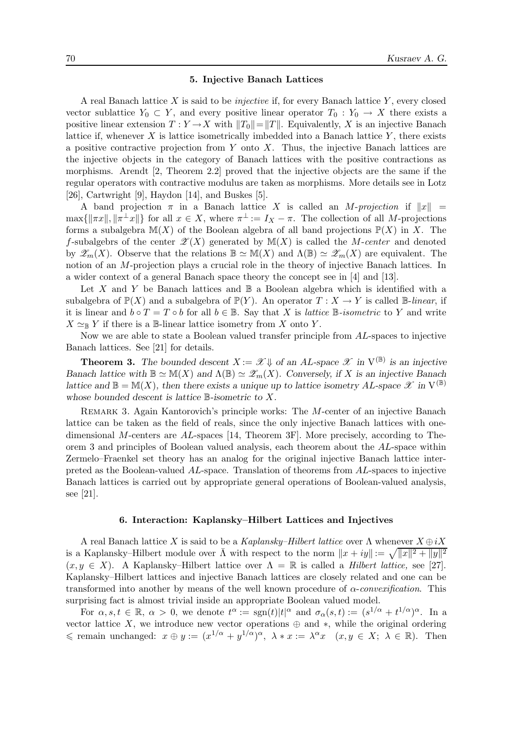## 5. Injective Banach Lattices

A real Banach lattice X is said to be *injective* if, for every Banach lattice Y, every closed vector sublattice  $Y_0 \subset Y$ , and every positive linear operator  $T_0 : Y_0 \to X$  there exists a positive linear extension  $T: Y \to X$  with  $||T_0||=||T||$ . Equivalently, X is an injective Banach lattice if, whenever  $X$  is lattice isometrically imbedded into a Banach lattice  $Y$ , there exists a positive contractive projection from Y onto X. Thus, the injective Banach lattices are the injective objects in the category of Banach lattices with the positive contractions as morphisms. Arendt [2, Theorem 2.2] proved that the injective objects are the same if the regular operators with contractive modulus are taken as morphisms. More details see in Lotz [26], Cartwright [9], Haydon [14], and Buskes [5].

A band projection  $\pi$  in a Banach lattice X is called an M-projection if  $||x|| =$  $\max\{\|\pi x\|, \|\pi^{\perp} x\|\}$  for all  $x \in X$ , where  $\pi^{\perp} := I_X - \pi$ . The collection of all *M*-projections forms a subalgebra  $\mathbb{M}(X)$  of the Boolean algebra of all band projections  $\mathbb{P}(X)$  in X. The f-subalgebrs of the center  $\mathscr{Z}(X)$  generated by  $\mathbb{M}(X)$  is called the M-center and denoted by  $\mathscr{Z}_m(X)$ . Observe that the relations  $\mathbb{B} \simeq \mathbb{M}(X)$  and  $\Lambda(\mathbb{B}) \simeq \mathscr{Z}_m(X)$  are equivalent. The notion of an M-projection plays a crucial role in the theory of injective Banach lattices. In a wider context of a general Banach space theory the concept see in [4] and [13].

Let X and Y be Banach lattices and  $\mathbb B$  a Boolean algebra which is identified with a subalgebra of  $\mathbb{P}(X)$  and a subalgebra of  $\mathbb{P}(Y)$ . An operator  $T : X \to Y$  is called B-linear, if it is linear and  $b \circ T = T \circ b$  for all  $b \in \mathbb{B}$ . Say that X is *lattice*  $\mathbb{B}$ -isometric to Y and write  $X \simeq_{\mathbb{B}} Y$  if there is a B-linear lattice isometry from X onto Y.

Now we are able to state a Boolean valued transfer principle from AL-spaces to injective Banach lattices. See [21] for details.

**Theorem 3.** The bounded descent  $X := \mathscr{X} \Downarrow$  of an AL-space  $\mathscr{X}$  in  $V^{(\mathbb{B})}$  is an injective Banach lattice with  $\mathbb{B} \simeq \mathbb{M}(X)$  and  $\Lambda(\mathbb{B}) \simeq \mathscr{Z}_m(X)$ . Conversely, if X is an injective Banach lattice and  $\mathbb{B} = \mathbb{M}(X)$ , then there exists a unique up to lattice isometry AL-space  $\mathscr{X}$  in  $V^{(\mathbb{B})}$ whose bounded descent is lattice  $\mathbb B$ -isometric to  $X$ .

REMARK 3. Again Kantorovich's principle works: The M-center of an injective Banach lattice can be taken as the field of reals, since the only injective Banach lattices with onedimensional M-centers are  $AL$ -spaces [14, Theorem 3F]. More precisely, according to Theorem 3 and principles of Boolean valued analysis, each theorem about the AL-space within Zermelo–Fraenkel set theory has an analog for the original injective Banach lattice interpreted as the Boolean-valued AL-space. Translation of theorems from AL-spaces to injective Banach lattices is carried out by appropriate general operations of Boolean-valued analysis, see [21].

## 6. Interaction: Kaplansky–Hilbert Lattices and Injectives

A real Banach lattice X is said to be a Kaplansky–Hilbert lattice over  $\Lambda$  whenever  $X \oplus iX$ is a Kaplansky–Hilbert module over  $\bar{\Lambda}$  with respect to the norm  $||x + iy|| := \sqrt{||x||^2 + ||y||^2}$  $(x, y \in X)$ . A Kaplansky–Hilbert lattice over  $\Lambda = \mathbb{R}$  is called a *Hilbert lattice*, see [27]. Kaplansky–Hilbert lattices and injective Banach lattices are closely related and one can be transformed into another by means of the well known procedure of  $\alpha$ -convexification. This surprising fact is almost trivial inside an appropriate Boolean valued model.

For  $\alpha, s, t \in \mathbb{R}$ ,  $\alpha > 0$ , we denote  $t^{\alpha} := \text{sgn}(t)|t|^{\alpha}$  and  $\sigma_{\alpha}(s,t) := (s^{1/\alpha} + t^{1/\alpha})^{\alpha}$ . In a vector lattice X, we introduce new vector operations  $oplus$  and \*, while the original ordering  $\leq$  remain unchanged:  $x \oplus y := (x^{1/\alpha} + y^{1/\alpha})^{\alpha}, \lambda * x := \lambda^{\alpha} x \quad (x, y \in X; \lambda \in \mathbb{R})$ . Then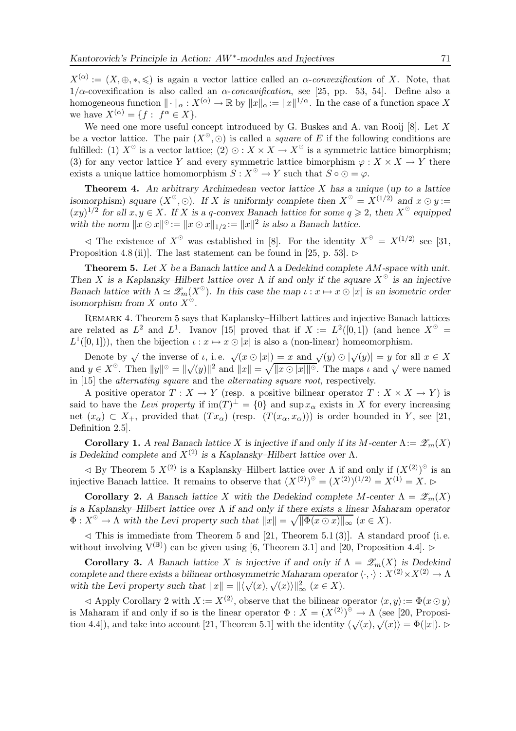$X^{(\alpha)} := (X, \oplus, *, \leq)$  is again a vector lattice called an  $\alpha$ -convexification of X. Note, that  $1/\alpha$ -covexification is also called an  $\alpha$ -concavification, see [25, pp. 53, 54]. Define also a homogeneous function  $\|\cdot\|_{\alpha}: X^{(\alpha)} \to \mathbb{R}$  by  $\|x\|_{\alpha} := \|x\|^{1/\alpha}$ . In the case of a function space X we have  $X^{(\alpha)} = \{f : f^{\alpha} \in X\}.$ 

We need one more useful concept introduced by G. Buskes and A. van Rooij [8]. Let X be a vector lattice. The pair  $(X^{\circ}, \odot)$  is called a *square* of E if the following conditions are fulfilled: (1)  $X^{\odot}$  is a vector lattice; (2)  $\odot$  :  $X \times X \to X^{\odot}$  is a symmetric lattice bimorphism; (3) for any vector lattice Y and every symmetric lattice bimorphism  $\varphi: X \times X \to Y$  there exists a unique lattice homomorphism  $S: X^{\circ} \to Y$  such that  $S \circ \odot = \varphi$ .

**Theorem 4.** An arbitrary Archimedean vector lattice  $X$  has a unique (up to a lattice isomorphism) square  $(X^{\circ}, \odot)$ . If X is uniformly complete then  $X^{\circ} = X^{(1/2)}$  and  $x \odot y :=$  $(xy)^{1/2}$  for all  $x, y \in X$ . If X is a q-convex Banach lattice for some  $q \geq 2$ , then  $X^{\circ}$  equipped with the norm  $||x \odot x||^{\circ} := ||x \odot x||_{1/2} := ||x||^2$  is also a Banach lattice.

 $\lhd$  The existence of  $X^{\odot}$  was established in [8]. For the identity  $X^{\odot} = X^{(1/2)}$  see [31, Proposition 4.8 (ii)]. The last statement can be found in [25, p. 53].  $\triangleright$ 

**Theorem 5.** Let X be a Banach lattice and  $\Lambda$  a Dedekind complete AM-space with unit. Then X is a Kaplansky–Hilbert lattice over  $\Lambda$  if and only if the square  $X^{\circ}$  is an injective Banach lattice with  $\Lambda \simeq \mathscr{Z}_m(X^\circ)$ . In this case the map  $\iota : x \mapsto x \odot |x|$  is an isometric order isomorphism from X onto  $X^{\odot}$ .

Remark 4. Theorem 5 says that Kaplansky–Hilbert lattices and injective Banach lattices are related as  $L^2$  and  $L^1$ . Ivanov [15] proved that if  $X := L^2([0,1])$  (and hence  $X^{\odot} =$  $L^1([0,1]))$ , then the bijection  $\iota : x \mapsto x \odot |x|$  is also a (non-linear) homeomorphism.

Denote by  $\sqrt{\ }$  the inverse of  $\iota$ , i.e.  $\sqrt{(x \odot |x|)} = x$  and  $\sqrt{(y) \odot |\sqrt{(y)}|} = y$  for all  $x \in X$ and  $y \in X^{\circ}$ . Then  $||y||^{\circ} = ||\sqrt{(y)}||^2$  and  $||x|| = \sqrt{||x \odot |x||^{\circ}}$ . The maps *i* and  $\sqrt{}$  were named in [15] the alternating square and the alternating square root, respectively.

A positive operator  $T : X \to Y$  (resp. a positive bilinear operator  $T : X \times X \to Y$ ) is said to have the Levi property if  $\text{im}(T)^{\perp} = \{0\}$  and  $\text{sup } x_{\alpha}$  exists in X for every increasing net  $(x_\alpha) \subset X_+$ , provided that  $(Tx_\alpha)$  (resp.  $(T(x_\alpha, x_\alpha))$ ) is order bounded in Y, see [21, Definition 2.5].

Corollary 1. A real Banach lattice X is injective if and only if its M-center  $\Lambda := \mathscr{Z}_m(X)$ is Dedekind complete and  $X^{(2)}$  is a Kaplansky–Hilbert lattice over  $\Lambda$ .

 $\leq$  By Theorem 5  $X^{(2)}$  is a Kaplansky–Hilbert lattice over  $\Lambda$  if and only if  $(X^{(2)})^{\circ}$  is an injective Banach lattice. It remains to observe that  $(X^{(2)})^{\circ} = (X^{(2)})^{(1/2)} = X^{(1)} = X$ .

Corollary 2. A Banach lattice X with the Dedekind complete M-center  $\Lambda = \mathscr{Z}_m(X)$ is a Kaplansky–Hilbert lattice over  $\Lambda$  if and only if there exists a linear Maharam operator  $\Phi: X^{\odot} \to \Lambda$  with the Levi property such that  $||x|| = \sqrt{||\Phi(x \odot x)||_{\infty}} \ (x \in X).$ 

 $\leq$  This is immediate from Theorem 5 and [21, Theorem 5.1 (3)]. A standard proof (i.e. without involving  $V^{(\mathbb{B})}$  can be given using [6, Theorem 3.1] and [20, Proposition 4.4].  $\triangleright$ 

Corollary 3. A Banach lattice X is injective if and only if  $\Lambda = \mathscr{Z}_m(X)$  is Dedekind complete and there exists a bilinear orthosymmetric Maharam operator  $\langle \cdot, \cdot \rangle : X^{(2)} \times X^{(2)} \to \Lambda$ with the Levi property such that  $||x|| = ||\langle \sqrt{\langle x \rangle}, \sqrt{\langle x \rangle} \rangle||_{\infty}^2 \ (x \in X).$ 

 $\langle A \rangle = A$ pply Corollary 2 with  $X := X^{(2)}$ , observe that the bilinear operator  $\langle x, y \rangle := \Phi(x \odot y)$ is Maharam if and only if so is the linear operator  $\Phi: X = (X^{(2)})^{\circ} \to \Lambda$  (see [20, Proposition 4.4]), and take into account [21, Theorem 5.1] with the identity  $\langle \sqrt{(x)}, \sqrt{(x)} \rangle = \Phi(|x|)$ .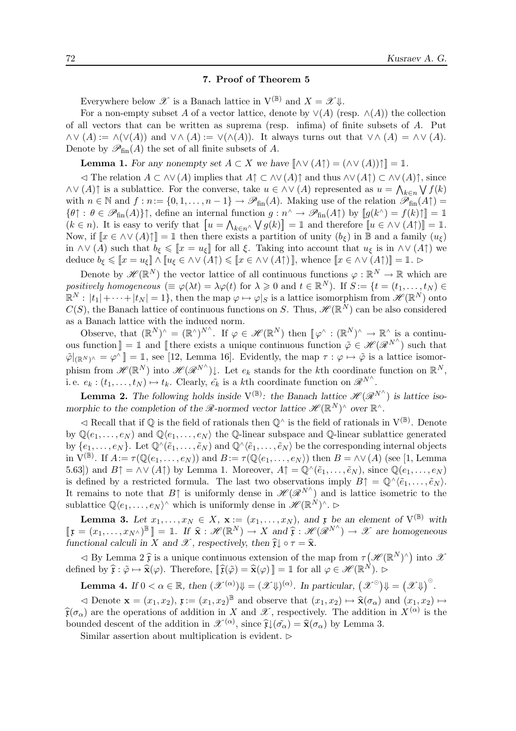## 7. Proof of Theorem 5

Everywhere below  $\mathscr X$  is a Banach lattice in  $V^{(\mathbb B)}$  and  $X = \mathscr X \Downarrow$ .

For a non-empty subset A of a vector lattice, denote by  $\vee(A)$  (resp.  $\wedge(A)$ ) the collection of all vectors that can be written as suprema (resp. infima) of finite subsets of  $A$ . Put  $\wedge \vee (A) := \wedge (\vee (A))$  and  $\vee \wedge (A) := \vee (\wedge (A))$ . It always turns out that  $\vee \wedge (A) = \wedge \vee (A)$ . Denote by  $\mathscr{P}_{\text{fin}}(A)$  the set of all finite subsets of A.

**Lemma 1.** For any nonempty set  $A \subset X$  we have  $[\wedge \vee (A \uparrow) = (\wedge \vee (A)) \uparrow] = \mathbb{1}$ .

 $\Box$  The relation  $A \subset \wedge \vee (A)$  implies that  $A \uparrow \subset \wedge \vee (A) \uparrow$  and thus  $\wedge \vee (A \uparrow) \subset \wedge \vee (A) \uparrow$ , since  $\wedge \vee$  (A)<sup>†</sup> is a sublattice. For the converse, take  $u \in \wedge \vee$  (A) represented as  $u = \bigwedge_{k \in n} \bigvee_{k \in n} f(k)$ with  $n \in \mathbb{N}$  and  $f : n := \{0, 1, \ldots, n-1\} \to \mathscr{P}_{fin}(A)$ . Making use of the relation  $\mathscr{P}_{fin}(A^{\uparrow}) =$  $\{\theta \uparrow : \theta \in \mathscr{P}_{fin}(A)\}\uparrow,$  define an internal function  $g: n^{\wedge} \to \mathscr{P}_{fin}(A\uparrow)$  by  $[\![g(k^{\wedge}) = f(k)\uparrow]\!] = \mathbb{1}$  $(k \in n)$ . It is easy to verify that  $\llbracket u = \bigwedge_{k \in n} \bigvee g(k) \rrbracket = \mathbb{1}$  and therefore  $\llbracket u \in \wedge \vee (A \uparrow) \rrbracket = \mathbb{1}$ . Now, if  $[x \in \wedge \vee (A) \uparrow] = \mathbb{1}$  then there exists a partition of unity  $(b_{\xi})$  in  $\mathbb{B}$  and a family  $(u_{\xi})$ in  $\wedge \vee (A)$  such that  $b_{\xi} \leqslant [x = u_{\xi}]$  for all  $\xi$ . Taking into account that  $u_{\xi}$  is in  $\wedge \vee (A \uparrow)$  we deduce  $b_{\xi} \leqslant [x = u_{\xi}] \wedge [u_{\xi} \in \wedge \vee (A \uparrow)) \leqslant [x \in \wedge \vee (A \uparrow)]$ , whence  $[x \in \wedge \vee (A \uparrow)] = 1$ .

Denote by  $\mathscr{H}(\mathbb{R}^N)$  the vector lattice of all continuous functions  $\varphi : \mathbb{R}^N \to \mathbb{R}$  which are positively homogeneous  $(\equiv \varphi(\lambda t) = \lambda \varphi(t)$  for  $\lambda \geq 0$  and  $t \in \mathbb{R}^N$ ). If  $S := \{t = (t_1, \ldots, t_N) \in$  $\mathbb{R}^N : |t_1| + \cdots + |t_N| = 1$ , then the map  $\varphi \mapsto \varphi|_S$  is a lattice isomorphism from  $\mathscr{H}(\mathbb{R}^N)$  onto  $C(S)$ , the Banach lattice of continuous functions on S. Thus,  $\mathscr{H}(\mathbb{R}^N)$  can be also considered as a Banach lattice with the induced norm.

Observe, that  $(\mathbb{R}^N)^{\wedge} = (\mathbb{R}^{\wedge})^{N^{\wedge}}$ . If  $\varphi \in \mathscr{H}(\mathbb{R}^N)$  then  $[\![\varphi^{\wedge} : (\mathbb{R}^N)^{\wedge} \to \mathbb{R}^{\wedge}$  is a continuous function  $]\!\!\!\int = \mathbb{1}$  and  $[\!\!\int$  there exists a unique continuous function  $\tilde{\varphi} \in \mathcal{H}(\mathcal{R}^{N^{\wedge}})$  such that  $\tilde{\varphi}|_{(\mathbb{R}^N)^{\wedge}} = \varphi^{\wedge} \mathbb{I} = \mathbb{I}$ , see [12, Lemma 16]. Evidently, the map  $\tau : \varphi \mapsto \tilde{\varphi}$  is a lattice isomorphism from  $\mathscr{H}(\mathbb{R}^N)$  into  $\mathscr{H}(\mathscr{R}^{N\wedge})\downarrow$ . Let  $e_k$  stands for the kth coordinate function on  $\mathbb{R}^N$ , i. e.  $e_k : (t_1, \ldots, t_N) \mapsto t_k$ . Clearly,  $\tilde{e_k}$  is a kth coordinate function on  $\mathscr{R}^{N^{\wedge}}$ .

**Lemma 2.** The following holds inside  $V^{(\mathbb{B})}$ : the Banach lattice  $\mathcal{H}(\mathcal{R}^{N})$  is lattice isomorphic to the completion of the  $\mathscr{R}\text{-normed vector lattice }\mathscr{H}(\mathbb{R}^N)^{\wedge}$  over  $\mathbb{R}^{\wedge}$ .

 $\triangleleft$  Recall that if  $\mathbb Q$  is the field of rationals then  $\mathbb Q^\wedge$  is the field of rationals in  $V^{(\mathbb B)}$ . Denote by  $\mathbb{Q}(e_1,\ldots,e_N)$  and  $\mathbb{Q}\langle e_1,\ldots,e_N\rangle$  the  $\mathbb{Q}$ -linear subspace and  $\mathbb{Q}$ -linear sublattice generated by  $\{e_1,\ldots,e_N\}$ . Let  $\mathbb{Q}^{\wedge}(\tilde{e}_1,\ldots,\tilde{e}_N)$  and  $\mathbb{Q}^{\wedge}(\tilde{e}_1,\ldots,\tilde{e}_N)$  be the corresponding internal objects in  $V^{(\mathbb{B})}$ . If  $A:=\tau(\mathbb{Q}(e_1,\ldots,e_N))$  and  $B:=\tau(\mathbb{Q}\langle e_1,\ldots,e_N\rangle)$  then  $B=\wedge\vee(A)$  (see [1, Lemma 5.63]) and  $B\uparrow = \wedge \vee (A\uparrow)$  by Lemma 1. Moreover,  $A\uparrow = \mathbb{Q}^{\wedge}(\tilde{e}_1,\ldots,\tilde{e}_N)$ , since  $\mathbb{Q}(e_1,\ldots,e_N)$ is defined by a restricted formula. The last two observations imply  $B \uparrow = \mathbb{Q}^{\wedge} \langle \tilde{e}_1, \ldots, \tilde{e}_N \rangle$ . It remains to note that  $B\uparrow$  is uniformly dense in  $\mathscr{H}(\mathscr{R}^{N\wedge})$  and is lattice isometric to the sublattice  $\mathbb{Q}\langle e_1,\ldots,e_N\rangle^\wedge$  which is uniformly dense in  $\mathscr{H}(\mathbb{R}^N)^\wedge$ .

**Lemma 3.** Let  $x_1, \ldots, x_N \in X$ ,  $\mathbf{x} := (x_1, \ldots, x_N)$ , and  $\mathbf{x}$  be an element of  $V^{(\mathbb{B})}$  with  $[\![\mathfrak{x} = (x_1, \ldots, x_{N} \wedge)]^{\mathbb{B}} \!] = \mathbb{1}.$  If  $\widehat{\mathbf{x}} : \mathscr{H}(\mathbb{R}^N) \to X$  and  $\widehat{\mathfrak{x}} : \mathscr{H}(\mathscr{R}^{N} \wedge) \to \mathscr{X}$  are homogeneous functional calculi in X and  $\mathscr X$ , respectively, then  $\hat{\mathfrak x}$   $\circ$   $\tau = \hat{\mathfrak X}$ .

 $\leq$  By Lemma  $2 \hat{\mathfrak{X}}$  is a unique continuous extension of the map from  $\tau(\mathscr{H}(\mathbb{R}^N)^\wedge)$  into  $\mathscr{X}$ defined by  $\hat{\mathfrak{x}} : \tilde{\varphi} \mapsto \hat{\mathbf{x}}(\varphi)$ . Therefore,  $[\![\hat{\mathfrak{x}}(\tilde{\varphi}) = \hat{\mathbf{x}}(\varphi)]\!] = \mathbb{1}$  for all  $\varphi \in \mathscr{H}(\mathbb{R}^N)$ .  $\rhd$ 

**Lemma 4.** If  $0 < \alpha \in \mathbb{R}$ , then  $(\mathscr{X}^{(\alpha)})\Downarrow = (\mathscr{X}\Downarrow)^{(\alpha)}$ . In particular,  $(\mathscr{X}^{\circ})\Downarrow = (\mathscr{X}\Downarrow)^{\circ}$ .

 $\leq$  Denote  $\mathbf{x} = (x_1, x_2), \mathbf{y} := (x_1, x_2)^{\mathbb{B}}$  and observe that  $(x_1, x_2) \mapsto \mathbf{\hat{x}}(\sigma_\alpha)$  and  $(x_1, x_2) \mapsto$  $\hat{\mathfrak{X}}(\sigma_{\alpha})$  are the operations of addition in X and  $\mathscr{X}$ , respectively. The addition in  $X^{(\alpha)}$  is the bounded descent of the addition in  $\mathscr{X}^{(\alpha)}$ , since  $\hat{\mathfrak{X}}(\sigma_{\alpha}) = \hat{\mathfrak{X}}(\sigma_{\alpha})$  by Lemma 3.

Similar assertion about multiplication is evident.  $\triangleright$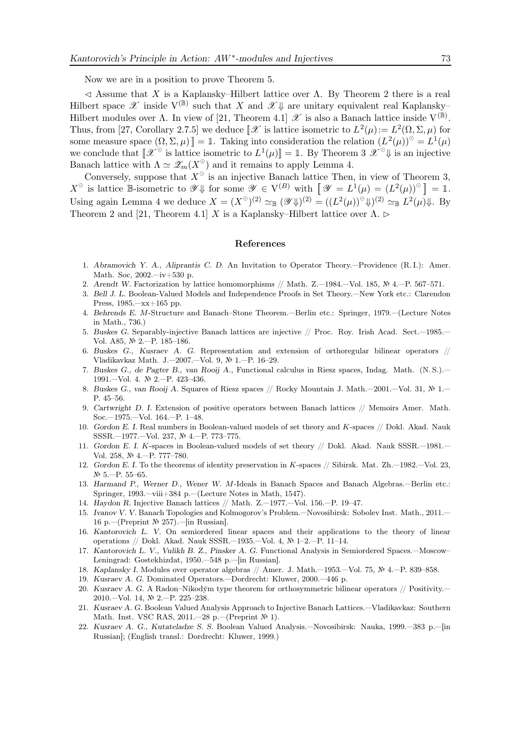Now we are in a position to prove Theorem 5.

 $\leq$  Assume that X is a Kaplansky–Hilbert lattice over  $\Lambda$ . By Theorem 2 there is a real Hilbert space  $\mathscr X$  inside  $V^{(\mathbb{B})}$  such that X and  $\mathscr X \Downarrow$  are unitary equivalent real Kaplansky– Hilbert modules over  $\Lambda$ . In view of [21, Theorem 4.1]  $\mathscr X$  is also a Banach lattice inside  $V^{(\mathbb B)}$ . Thus, from [27, Corollary 2.7.5] we deduce  $[\mathscr{X}]$  is lattice isometric to  $L^2(\mu) := L^2(\Omega, \Sigma, \mu)$  for some measure space  $(\Omega, \Sigma, \mu)$  = 1. Taking into consideration the relation  $(L^2(\mu))^{\circ} = L^1(\mu)$ we conclude that  $\llbracket \mathcal{X}^\circ \rrbracket$  is lattice isometric to  $L^1(\mu) \rrbracket = \mathbb{1}$ . By Theorem 3  $\mathcal{X}^\circ \Downarrow$  is an injective Banach lattice with  $\Lambda \simeq \mathscr{Z}_m(X^\circ)$  and it remains to apply Lemma 4.

Conversely, suppose that  $X^{\circ}$  is an injective Banach lattice Then, in view of Theorem 3,  $X^{\odot}$  is lattice B-isometric to  $\mathscr{Y}\Downarrow$  for some  $\mathscr{Y}\in V^{(B)}$  with  $\left[\mathscr{Y}=L^{1}(\mu)=(L^{2}(\mu))^{\odot}\right]=\mathbb{1}$ . Using again Lemma 4 we deduce  $X = (X^{\circ})^{(2)} \simeq_{\mathbb{B}} (\mathscr{Y}\Downarrow)^{(2)} = ((L^{2}(\mu))^{\circ}\Downarrow)^{(2)} \simeq_{\mathbb{B}} L^{2}(\mu)\Downarrow$ . By Theorem 2 and [21, Theorem 4.1] X is a Kaplansky–Hilbert lattice over  $\Lambda$ .

### References

- 1. Abramovich Y. A., Aliprantis C. D. An Invitation to Operator Theory.—Providence (R.I.): Amer. Math. Soc, 2002.—iv+530 p.
- 2. Arendt W. Factorization by lattice homomorphisms // Math. Z.—1984.—Vol. 185, № 4.—P. 567–571.
- 3. Bell J. L. Boolean-Valued Models and Independence Proofs in Set Theory.—New York etc.: Clarendon Press, 1985.—xx+165 pp.
- 4. Behrends E. M-Structure and Banach–Stone Theorem.—Berlin etc.: Springer, 1979.—(Lecture Notes in Math., 736.)
- 5. Buskes G. Separably-injective Banach lattices are injective // Proc. Roy. Irish Acad. Sect.—1985.— Vol. A85, № 2.—P. 185–186.
- 6. Buskes G., Kusraev A. G. Representation and extension of orthoregular bilinear operators // Vladikavkaz Math. J.—2007.—Vol. 9, № 1.—P. 16–29.
- 7. Buskes G., de Pagter B., van Rooij A., Functional calculus in Riesz spaces, Indag. Math. (N. S.).— 1991.—Vol. 4. № 2.—P. 423–436.
- 8. Buskes G., van Rooij A. Squares of Riesz spaces // Rocky Mountain J. Math.—2001.—Vol. 31, № 1.— P. 45–56.
- 9. Cartwright D. I. Extension of positive operators between Banach lattices // Memoirs Amer. Math. Soc.—1975.—Vol. 164.—P. 1–48.
- 10. Gordon E. I. Real numbers in Boolean-valued models of set theory and K-spaces // Dokl. Akad. Nauk SSSR.—1977.—Vol. 237, № 4.—P. 773–775.
- 11. Gordon E. I. K-spaces in Boolean-valued models of set theory // Dokl. Akad. Nauk SSSR.—1981.— Vol. 258, № 4.—P. 777–780.
- 12. Gordon E. I. To the theorems of identity preservation in K-spaces // Sibirsk. Mat. Zh.—1982.—Vol. 23, № 5.—P. 55–65.
- 13. Harmand P., Werner D., Wener W. M-Ideals in Banach Spaces and Banach Algebras.—Berlin etc.: Springer, 1993.—viii+384 p.—(Lecture Notes in Math, 1547).
- 14. Haydon R. Injective Banach lattices // Math. Z.—1977.—Vol. 156.—P. 19–47.
- 15. Ivanov V. V. Banach Topologies and Kolmogorov's Problem.—Novosibirsk: Sobolev Inst. Math., 2011.— 16 p.—(Preprint № 257).—[in Russian].
- 16. Kantorovich L. V. On semiordered linear spaces and their applications to the theory of linear operations // Dokl. Akad. Nauk SSSR.—1935.—Vol. 4, № 1–2.—P. 11–14.
- 17. Kantorovich L. V., Vulikh B. Z., Pinsker A. G. Functional Analysis in Semiordered Spaces.—Moscow– Leningrad: Gostekhizdat, 1950.—548 p.—[in Russian].
- 18. Kaplansky I. Modules over operator algebras // Amer. J. Math.—1953.—Vol. 75, № 4.—P. 839–858.
- 19. Kusraev A. G. Dominated Operators.—Dordrecht: Kluwer, 2000.—446 p.
- 20. Kusraev A. G. A Radon–Nikodým type theorem for orthosymmetric bilinear operators // Positivity.— 2010.—Vol. 14, № 2.—P. 225–238.
- 21. Kusraev A. G. Boolean Valued Analysis Approach to Injective Banach Lattices.—Vladikavkaz: Southern Math. Inst. VSC RAS, 2011.—28 p.—(Preprint  $\mathbb{N}^2$  1).
- 22. Kusraev A. G., Kutateladze S. S. Boolean Valued Analysis.—Novosibirsk: Nauka, 1999.—383 p.—[in Russian]; (English transl.: Dordrecht: Kluwer, 1999.)